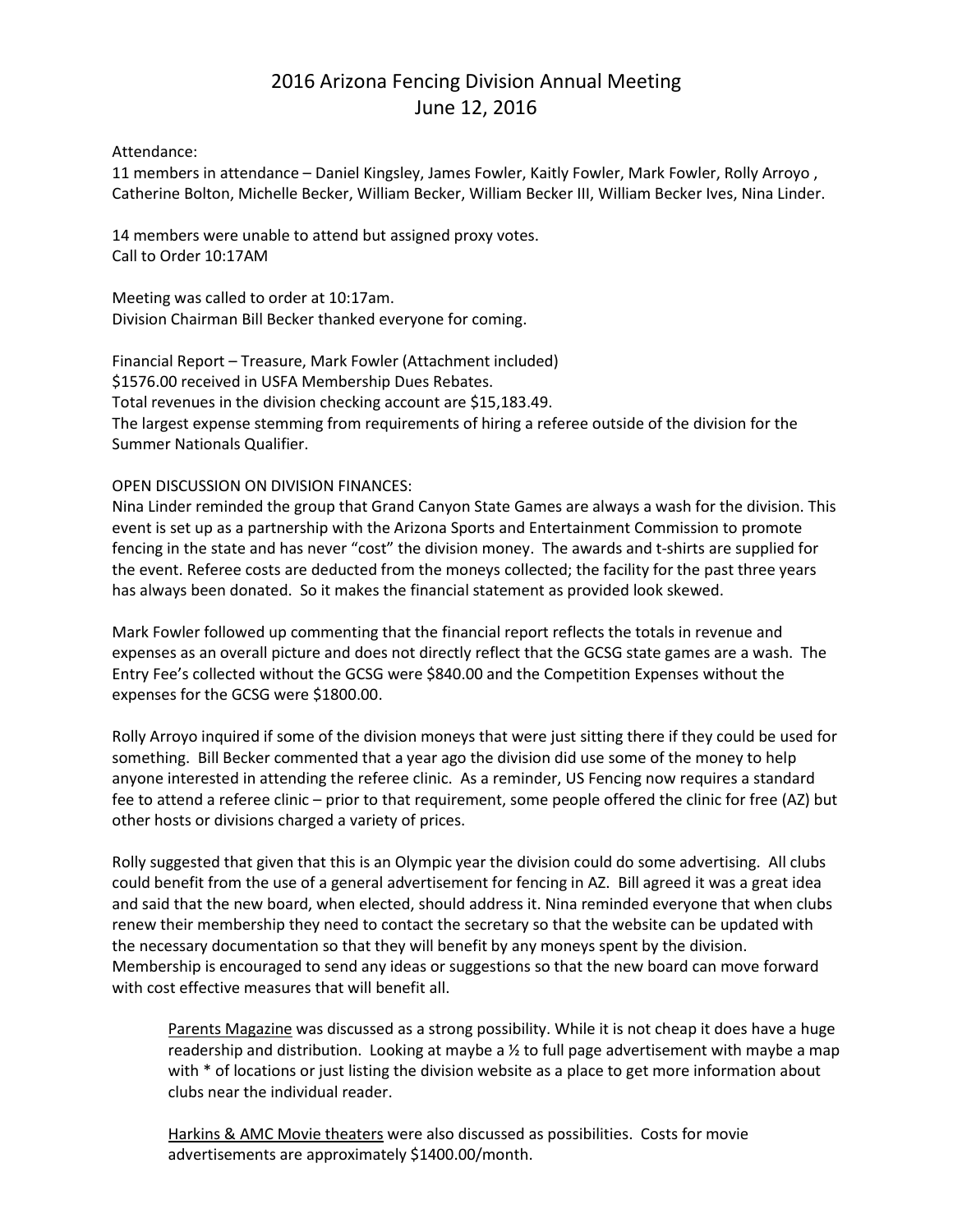# 2016 Arizona Fencing Division Annual Meeting June 12, 2016

## Attendance:

11 members in attendance – Daniel Kingsley, James Fowler, Kaitly Fowler, Mark Fowler, Rolly Arroyo , Catherine Bolton, Michelle Becker, William Becker, William Becker III, William Becker Ives, Nina Linder.

14 members were unable to attend but assigned proxy votes. Call to Order 10:17AM

Meeting was called to order at 10:17am. Division Chairman Bill Becker thanked everyone for coming.

Financial Report – Treasure, Mark Fowler (Attachment included) \$1576.00 received in USFA Membership Dues Rebates. Total revenues in the division checking account are \$15,183.49. The largest expense stemming from requirements of hiring a referee outside of the division for the Summer Nationals Qualifier.

# OPEN DISCUSSION ON DIVISION FINANCES:

Nina Linder reminded the group that Grand Canyon State Games are always a wash for the division. This event is set up as a partnership with the Arizona Sports and Entertainment Commission to promote fencing in the state and has never "cost" the division money. The awards and t-shirts are supplied for the event. Referee costs are deducted from the moneys collected; the facility for the past three years has always been donated. So it makes the financial statement as provided look skewed.

Mark Fowler followed up commenting that the financial report reflects the totals in revenue and expenses as an overall picture and does not directly reflect that the GCSG state games are a wash. The Entry Fee's collected without the GCSG were \$840.00 and the Competition Expenses without the expenses for the GCSG were \$1800.00.

Rolly Arroyo inquired if some of the division moneys that were just sitting there if they could be used for something. Bill Becker commented that a year ago the division did use some of the money to help anyone interested in attending the referee clinic. As a reminder, US Fencing now requires a standard fee to attend a referee clinic – prior to that requirement, some people offered the clinic for free (AZ) but other hosts or divisions charged a variety of prices.

Rolly suggested that given that this is an Olympic year the division could do some advertising. All clubs could benefit from the use of a general advertisement for fencing in AZ. Bill agreed it was a great idea and said that the new board, when elected, should address it. Nina reminded everyone that when clubs renew their membership they need to contact the secretary so that the website can be updated with the necessary documentation so that they will benefit by any moneys spent by the division. Membership is encouraged to send any ideas or suggestions so that the new board can move forward with cost effective measures that will benefit all.

Parents Magazine was discussed as a strong possibility. While it is not cheap it does have a huge readership and distribution. Looking at maybe a  $\frac{1}{2}$  to full page advertisement with maybe a map with \* of locations or just listing the division website as a place to get more information about clubs near the individual reader.

Harkins & AMC Movie theaters were also discussed as possibilities. Costs for movie advertisements are approximately \$1400.00/month.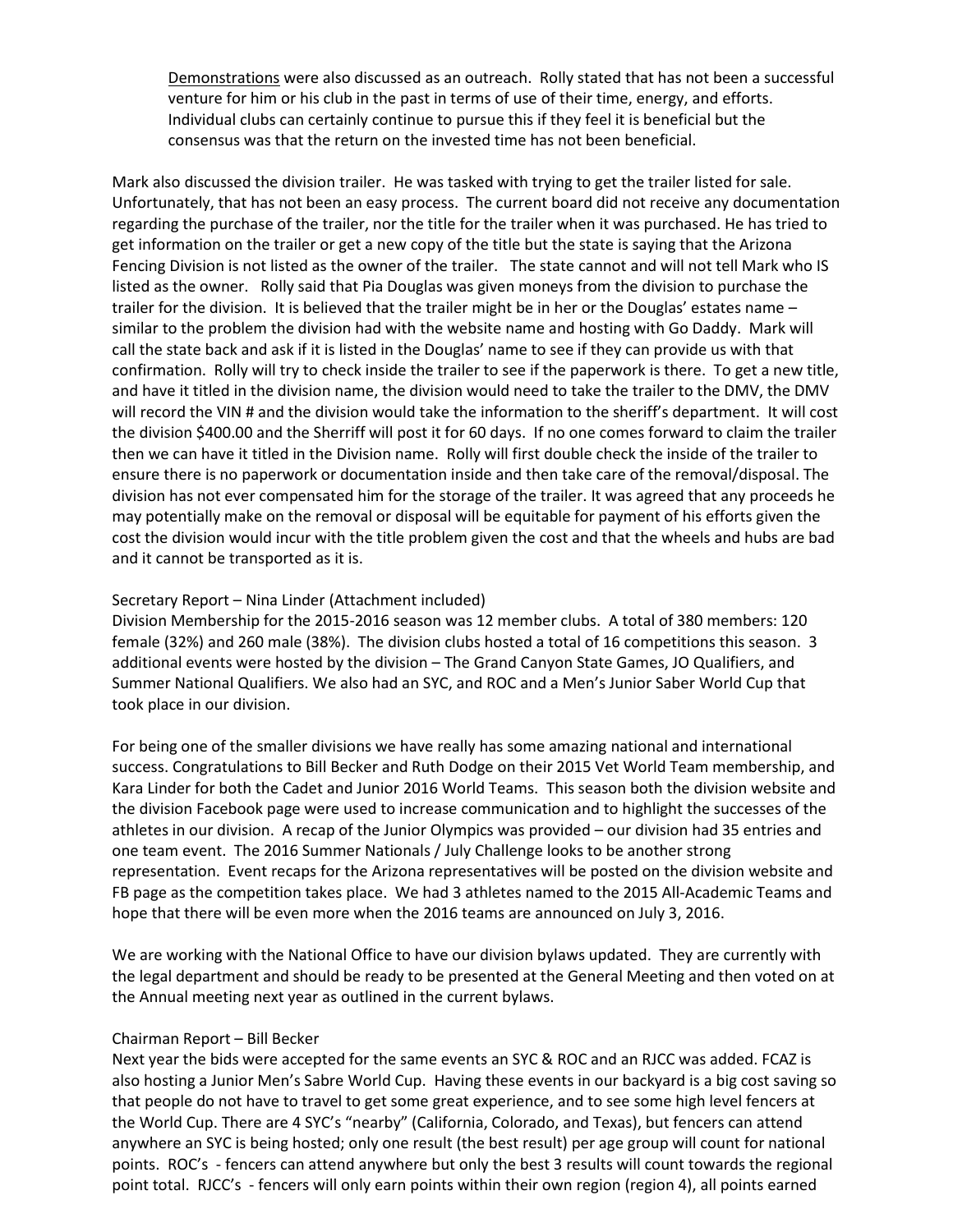Demonstrations were also discussed as an outreach. Rolly stated that has not been a successful venture for him or his club in the past in terms of use of their time, energy, and efforts. Individual clubs can certainly continue to pursue this if they feel it is beneficial but the consensus was that the return on the invested time has not been beneficial.

Mark also discussed the division trailer. He was tasked with trying to get the trailer listed for sale. Unfortunately, that has not been an easy process. The current board did not receive any documentation regarding the purchase of the trailer, nor the title for the trailer when it was purchased. He has tried to get information on the trailer or get a new copy of the title but the state is saying that the Arizona Fencing Division is not listed as the owner of the trailer. The state cannot and will not tell Mark who IS listed as the owner. Rolly said that Pia Douglas was given moneys from the division to purchase the trailer for the division. It is believed that the trailer might be in her or the Douglas' estates name – similar to the problem the division had with the website name and hosting with Go Daddy. Mark will call the state back and ask if it is listed in the Douglas' name to see if they can provide us with that confirmation. Rolly will try to check inside the trailer to see if the paperwork is there. To get a new title, and have it titled in the division name, the division would need to take the trailer to the DMV, the DMV will record the VIN # and the division would take the information to the sheriff's department. It will cost the division \$400.00 and the Sherriff will post it for 60 days. If no one comes forward to claim the trailer then we can have it titled in the Division name. Rolly will first double check the inside of the trailer to ensure there is no paperwork or documentation inside and then take care of the removal/disposal. The division has not ever compensated him for the storage of the trailer. It was agreed that any proceeds he may potentially make on the removal or disposal will be equitable for payment of his efforts given the cost the division would incur with the title problem given the cost and that the wheels and hubs are bad and it cannot be transported as it is.

## Secretary Report – Nina Linder (Attachment included)

Division Membership for the 2015-2016 season was 12 member clubs. A total of 380 members: 120 female (32%) and 260 male (38%). The division clubs hosted a total of 16 competitions this season. 3 additional events were hosted by the division – The Grand Canyon State Games, JO Qualifiers, and Summer National Qualifiers. We also had an SYC, and ROC and a Men's Junior Saber World Cup that took place in our division.

For being one of the smaller divisions we have really has some amazing national and international success. Congratulations to Bill Becker and Ruth Dodge on their 2015 Vet World Team membership, and Kara Linder for both the Cadet and Junior 2016 World Teams. This season both the division website and the division Facebook page were used to increase communication and to highlight the successes of the athletes in our division. A recap of the Junior Olympics was provided – our division had 35 entries and one team event. The 2016 Summer Nationals / July Challenge looks to be another strong representation. Event recaps for the Arizona representatives will be posted on the division website and FB page as the competition takes place. We had 3 athletes named to the 2015 All-Academic Teams and hope that there will be even more when the 2016 teams are announced on July 3, 2016.

We are working with the National Office to have our division bylaws updated. They are currently with the legal department and should be ready to be presented at the General Meeting and then voted on at the Annual meeting next year as outlined in the current bylaws.

#### Chairman Report – Bill Becker

Next year the bids were accepted for the same events an SYC & ROC and an RJCC was added. FCAZ is also hosting a Junior Men's Sabre World Cup. Having these events in our backyard is a big cost saving so that people do not have to travel to get some great experience, and to see some high level fencers at the World Cup. There are 4 SYC's "nearby" (California, Colorado, and Texas), but fencers can attend anywhere an SYC is being hosted; only one result (the best result) per age group will count for national points. ROC's - fencers can attend anywhere but only the best 3 results will count towards the regional point total. RJCC's - fencers will only earn points within their own region (region 4), all points earned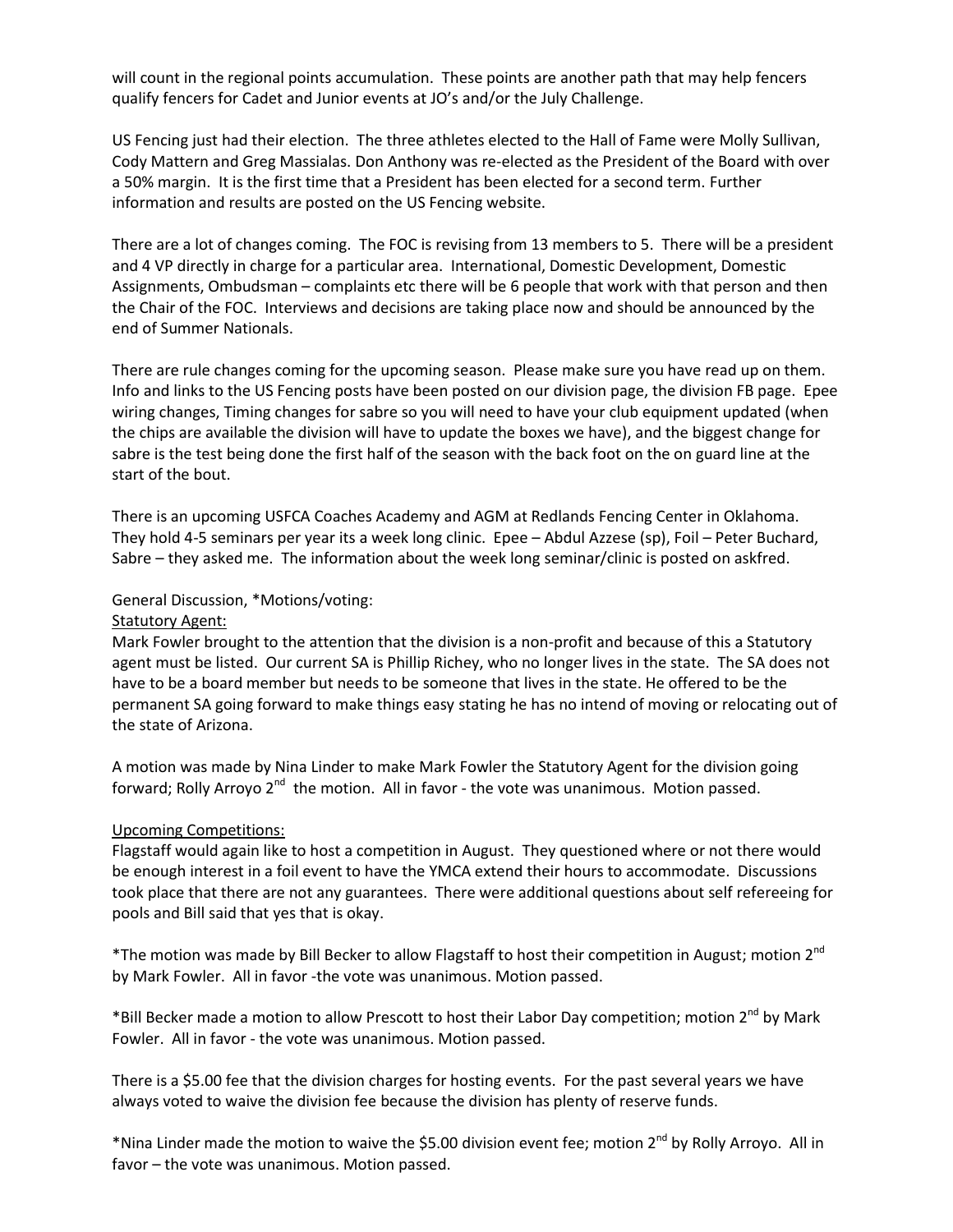will count in the regional points accumulation. These points are another path that may help fencers qualify fencers for Cadet and Junior events at JO's and/or the July Challenge.

US Fencing just had their election. The three athletes elected to the Hall of Fame were Molly Sullivan, Cody Mattern and Greg Massialas. Don Anthony was re-elected as the President of the Board with over a 50% margin. It is the first time that a President has been elected for a second term. Further information and results are posted on the US Fencing website.

There are a lot of changes coming. The FOC is revising from 13 members to 5. There will be a president and 4 VP directly in charge for a particular area. International, Domestic Development, Domestic Assignments, Ombudsman – complaints etc there will be 6 people that work with that person and then the Chair of the FOC. Interviews and decisions are taking place now and should be announced by the end of Summer Nationals.

There are rule changes coming for the upcoming season. Please make sure you have read up on them. Info and links to the US Fencing posts have been posted on our division page, the division FB page. Epee wiring changes, Timing changes for sabre so you will need to have your club equipment updated (when the chips are available the division will have to update the boxes we have), and the biggest change for sabre is the test being done the first half of the season with the back foot on the on guard line at the start of the bout.

There is an upcoming USFCA Coaches Academy and AGM at Redlands Fencing Center in Oklahoma. They hold 4-5 seminars per year its a week long clinic. Epee – Abdul Azzese (sp), Foil – Peter Buchard, Sabre – they asked me. The information about the week long seminar/clinic is posted on askfred.

## General Discussion, \*Motions/voting:

#### **Statutory Agent:**

Mark Fowler brought to the attention that the division is a non-profit and because of this a Statutory agent must be listed. Our current SA is Phillip Richey, who no longer lives in the state. The SA does not have to be a board member but needs to be someone that lives in the state. He offered to be the permanent SA going forward to make things easy stating he has no intend of moving or relocating out of the state of Arizona.

A motion was made by Nina Linder to make Mark Fowler the Statutory Agent for the division going forward; Rolly Arroyo 2<sup>nd</sup> the motion. All in favor - the vote was unanimous. Motion passed.

#### Upcoming Competitions:

Flagstaff would again like to host a competition in August. They questioned where or not there would be enough interest in a foil event to have the YMCA extend their hours to accommodate. Discussions took place that there are not any guarantees. There were additional questions about self refereeing for pools and Bill said that yes that is okay.

\*The motion was made by Bill Becker to allow Flagstaff to host their competition in August; motion  $2^{nd}$ by Mark Fowler. All in favor -the vote was unanimous. Motion passed.

\*Bill Becker made a motion to allow Prescott to host their Labor Day competition; motion 2<sup>nd</sup> by Mark Fowler. All in favor - the vote was unanimous. Motion passed.

There is a \$5.00 fee that the division charges for hosting events. For the past several years we have always voted to waive the division fee because the division has plenty of reserve funds.

\*Nina Linder made the motion to waive the \$5.00 division event fee; motion 2<sup>nd</sup> by Rolly Arroyo. All in favor – the vote was unanimous. Motion passed.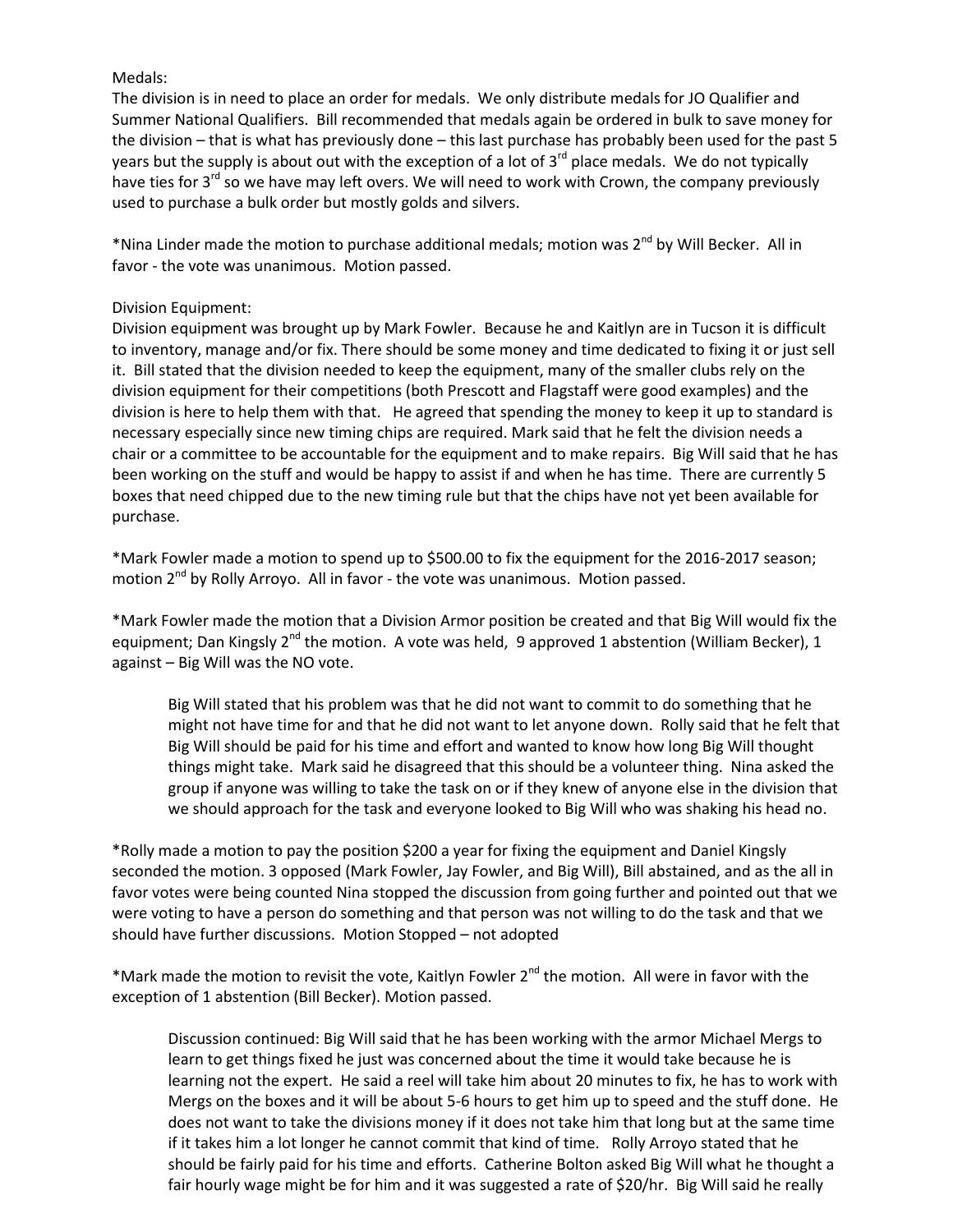# Medals:

The division is in need to place an order for medals. We only distribute medals for JO Qualifier and Summer National Qualifiers. Bill recommended that medals again be ordered in bulk to save money for the division – that is what has previously done – this last purchase has probably been used for the past 5 years but the supply is about out with the exception of a lot of  $3<sup>rd</sup>$  place medals. We do not typically have ties for 3<sup>rd</sup> so we have may left overs. We will need to work with Crown, the company previously used to purchase a bulk order but mostly golds and silvers.

\*Nina Linder made the motion to purchase additional medals; motion was 2<sup>nd</sup> by Will Becker. All in favor - the vote was unanimous. Motion passed.

# Division Equipment:

Division equipment was brought up by Mark Fowler. Because he and Kaitlyn are in Tucson it is difficult to inventory, manage and/or fix. There should be some money and time dedicated to fixing it or just sell it. Bill stated that the division needed to keep the equipment, many of the smaller clubs rely on the division equipment for their competitions (both Prescott and Flagstaff were good examples) and the division is here to help them with that. He agreed that spending the money to keep it up to standard is necessary especially since new timing chips are required. Mark said that he felt the division needs a chair or a committee to be accountable for the equipment and to make repairs. Big Will said that he has been working on the stuff and would be happy to assist if and when he has time. There are currently 5 boxes that need chipped due to the new timing rule but that the chips have not yet been available for purchase.

\*Mark Fowler made a motion to spend up to \$500.00 to fix the equipment for the 2016-2017 season; motion 2<sup>nd</sup> by Rolly Arroyo. All in favor - the vote was unanimous. Motion passed.

\*Mark Fowler made the motion that a Division Armor position be created and that Big Will would fix the equipment; Dan Kingsly  $2^{nd}$  the motion. A vote was held, 9 approved 1 abstention (William Becker), 1 against – Big Will was the NO vote.

Big Will stated that his problem was that he did not want to commit to do something that he might not have time for and that he did not want to let anyone down. Rolly said that he felt that Big Will should be paid for his time and effort and wanted to know how long Big Will thought things might take. Mark said he disagreed that this should be a volunteer thing. Nina asked the group if anyone was willing to take the task on or if they knew of anyone else in the division that we should approach for the task and everyone looked to Big Will who was shaking his head no.

\*Rolly made a motion to pay the position \$200 a year for fixing the equipment and Daniel Kingsly seconded the motion. 3 opposed (Mark Fowler, Jay Fowler, and Big Will), Bill abstained, and as the all in favor votes were being counted Nina stopped the discussion from going further and pointed out that we were voting to have a person do something and that person was not willing to do the task and that we should have further discussions. Motion Stopped – not adopted

\*Mark made the motion to revisit the vote, Kaitlyn Fowler 2<sup>nd</sup> the motion. All were in favor with the exception of 1 abstention (Bill Becker). Motion passed.

Discussion continued: Big Will said that he has been working with the armor Michael Mergs to learn to get things fixed he just was concerned about the time it would take because he is learning not the expert. He said a reel will take him about 20 minutes to fix, he has to work with Mergs on the boxes and it will be about 5-6 hours to get him up to speed and the stuff done. He does not want to take the divisions money if it does not take him that long but at the same time if it takes him a lot longer he cannot commit that kind of time. Rolly Arroyo stated that he should be fairly paid for his time and efforts. Catherine Bolton asked Big Will what he thought a fair hourly wage might be for him and it was suggested a rate of \$20/hr. Big Will said he really